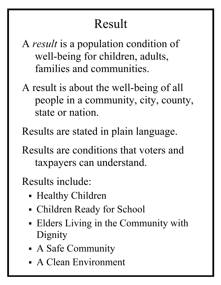# Result

- A result is a population condition of well-being for children, adults, families and communities.
- A result is about the well-being of all people in a community, city, county, state or nation.
- Results are stated in plain language.
- Results are conditions that voters and taxpayers can understand.
- Results include: Ĩ
	- Healthy Children
	- Children Ready for School
	- Elders Living in the Community with Dignity
	- A Safe Community
	- A Clean Environment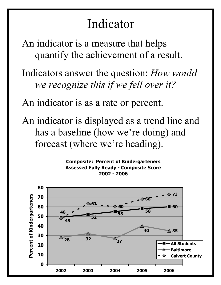### Indicator

An indicator is a measure that helps quantify the achievement of a result.

Indicators answer the question: How would we recognize this if we fell over it?

An indicator is as a rate or percent.

An indicator is displayed as a trend line and has a baseline (how we're doing) and forecast (where we're heading).

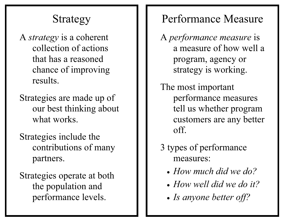### Strategy

- A strategy is a coherent collection of actions that has a reasoned chance of improving results.
- Strategies are made up of our best thinking about what works.
- Strategies include the contributions of many partners.
- Strategies operate at both the population and performance levels.

#### Performance Measure

- A performance measure is a measure of how well a program, agency or strategy is working.
- The most important performance measures tell us whether program customers are any better off.
- 3 types of performance measures:
	- How much did we do?
	- How well did we do it?
	- Is anyone better off?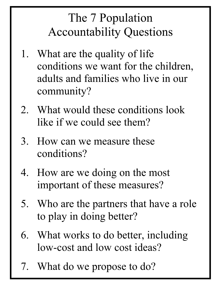## The 7 Population Accountability Questions

- 1. What are the quality of life conditions we want for the children, adults and families who live in our community?
- 2. What would these conditions look like if we could see them?
- 3. How can we measure these conditions?
- 4. How are we doing on the most important of these measures?
- 5. Who are the partners that have a role to play in doing better?
- 6. What works to do better, including low-cost and low cost ideas?
- 7. What do we propose to do?